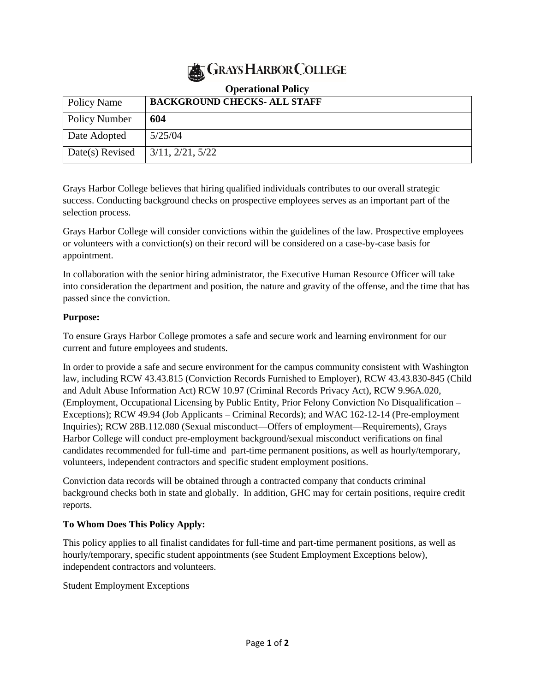

| Policy Name     | <b>BACKGROUND CHECKS- ALL STAFF</b> |
|-----------------|-------------------------------------|
| Policy Number   | 604                                 |
| Date Adopted    | 5/25/04                             |
| Date(s) Revised | 3/11, 2/21, 5/22                    |

## **Operational Policy**

Grays Harbor College believes that hiring qualified individuals contributes to our overall strategic success. Conducting background checks on prospective employees serves as an important part of the selection process.

Grays Harbor College will consider convictions within the guidelines of the law. Prospective employees or volunteers with a conviction(s) on their record will be considered on a case-by-case basis for appointment.

In collaboration with the senior hiring administrator, the Executive Human Resource Officer will take into consideration the department and position, the nature and gravity of the offense, and the time that has passed since the conviction.

## **Purpose:**

To ensure Grays Harbor College promotes a safe and secure work and learning environment for our current and future employees and students.

In order to provide a safe and secure environment for the campus community consistent with Washington law, including RCW 43.43.815 (Conviction Records Furnished to Employer), RCW 43.43.830-845 (Child and Adult Abuse Information Act) RCW 10.97 (Criminal Records Privacy Act), RCW 9.96A.020, (Employment, Occupational Licensing by Public Entity, Prior Felony Conviction No Disqualification – Exceptions); RCW 49.94 (Job Applicants – Criminal Records); and WAC 162-12-14 (Pre-employment Inquiries); RCW 28B.112.080 (Sexual misconduct—Offers of employment—Requirements), Grays Harbor College will conduct pre-employment background/sexual misconduct verifications on final candidates recommended for full-time and part-time permanent positions, as well as hourly/temporary, volunteers, independent contractors and specific student employment positions.

Conviction data records will be obtained through a contracted company that conducts criminal background checks both in state and globally. In addition, GHC may for certain positions, require credit reports.

## **To Whom Does This Policy Apply:**

This policy applies to all finalist candidates for full-time and part-time permanent positions, as well as hourly/temporary, specific student appointments (see Student Employment Exceptions below), independent contractors and volunteers.

Student Employment Exceptions